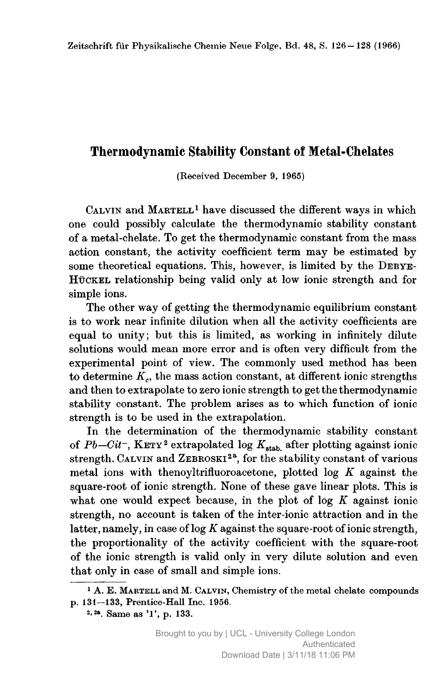## Thermodynamic Stability Constant of Metal-Chelates

(Received December 9, 1965)

 $CALVIN$  and  $MARTELL<sup>1</sup>$  have discussed the different ways in which one could possibly calculate the thermodynamic stability constant of <sup>a</sup> metal-chelate. To get the thermodynamic constant from the mass action constant, the activity coefficient term may be estimated by some theoretical equations. This, however, is limited by the DEBYE-Hückel relationship being valid only at low ionic strength and for simple ions.

The other way of getting the thermodynamic equilibrium constant is to work near infinite dilution when all the activity coefficients are equal to unity; but this is limited, as working in infinitely dilute solutions would mean more error and is often very difficult from the experimental point of view. The commonly used method has been to determine  $K<sub>c</sub>$ , the mass action constant, at different ionic strengths and then to extrapolate to zero ionic strength to get the thermodynamic stability constant. The problem arises as to which function of ionic strength is to be used in the extrapolation.

In the determination of the thermodynamic stability constant of  $Pb-Cit^-$ , KETY<sup>2</sup> extrapolated log  $K_{stab}$  after plotting against ionic strength. CALVIN and ZEBROSKI<sup>2a</sup>, for the stability constant of various metal ions with thenoyltrifluoroacetone, plotted  $\log K$  against the square-root of ionic strength. None of these gave linear plots. This is what one would expect because, in the plot of log  $K$  against ionic strength, no account is taken of the inter-ionic attraction and in the latter, namely, in case of  $log K$  against the square-root of ionic strength, the proportionality of the activity coefficient with the square-root of the ionic strength is valid only in very dilute solution and even that only in case of small and simple ions.

<sup>&</sup>lt;sup>1</sup> A. E. MARTELL and M. CALVIN, Chemistry of the metal chelate compounds p. 131—133, Prentice-Hall Inc. 1956.

<sup>&</sup>lt;sup>2, 2a</sup>. Same as '1', p. 133.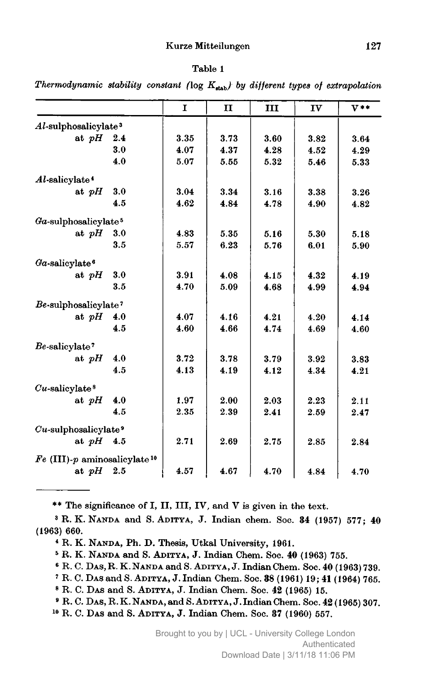## Kurze Mitteilungen 127

## Table <sup>1</sup>

Thermodynamic stability constant ( $log K_{stab}$ ) by different types of extrapolation

|                                            |     | $\mathbf{I}$ | $\mathbf{I}$ | III  | IV   | $V**$ |
|--------------------------------------------|-----|--------------|--------------|------|------|-------|
| $Al$ -sulphosalicylate <sup>3</sup>        |     |              |              |      |      |       |
| at $pH$                                    | 2.4 | 3.35         | 3.73         | 3.60 | 3.82 | 3.64  |
|                                            | 3.0 | 4.07         | 4.37         | 4.28 | 4.52 | 4.29  |
|                                            | 4.0 | 5.07         | 5.55         | 5.32 | 5.46 | 5.33  |
| Al-salicylate <sup>4</sup>                 |     |              |              |      |      |       |
| at $pH$                                    | 3.0 | 3.04         | 3.34         | 3.16 | 3.38 | 3.26  |
|                                            | 4.5 | 4.62         | 4.84         | 4.78 | 4.90 | 4.82  |
| $Ga$ -sulphosalicylate <sup>5</sup>        |     |              |              |      |      |       |
| at $pH$                                    | 3.0 | 4.83         | 5.35         | 5.16 | 5.30 | 5.18  |
|                                            | 3.5 | 5.57         | 6.23         | 5.76 | 6.01 | 5.90  |
| $Ga$ -salicylate <sup>6</sup>              |     |              |              |      |      |       |
| at $pH$                                    | 3.0 | 3.91         | 4.08         | 4.15 | 4.32 | 4.19  |
|                                            | 3.5 | 4.70         | 5.09         | 4.68 | 4.99 | 4.94  |
| Be-sulphosalicylate?                       |     |              |              |      |      |       |
| at $pH$                                    | 4.0 | 4.07         | 4.16         | 4.21 | 4.20 | 4.14  |
|                                            | 4.5 | 4.60         | 4.66         | 4.74 | 4.69 | 4.60  |
| Be-salicylate?                             |     |              |              |      |      |       |
| at $pH$                                    | 4.0 | 3.72         | 3.78         | 3.79 | 3.92 | 3.83  |
|                                            | 4.5 | 4.13         | 4.19         | 4.12 | 4.34 | 4.21  |
| $Cu$ -salicylate <sup>8</sup>              |     |              |              |      |      |       |
| at $pH$                                    | 4.0 | 1.97         | 2.00         | 2.03 | 2.23 | 2.11  |
|                                            | 4.5 | 2.35         | 2.39         | 2.41 | 2.59 | 2.47  |
| $Cu$ -sulphosalicylate <sup>9</sup>        |     |              |              |      |      |       |
| at $pH = 4.5$                              |     | 2.71         | 2.69         | 2.75 | 2.85 | 2.84  |
| $Fe$ (III)-p aminosalicylate <sup>10</sup> |     |              |              |      |      |       |
| at $pH$ 2.5                                |     | 4.57         | 4.67         | 4.70 | 4.84 | 4.70  |

\*\* The significance of I, II, III, IV, and <sup>V</sup> is given in the text.

<sup>3</sup> R. K. Nanda and S. Aditya, J. Indian chem. Soc. <sup>34</sup> (1957) 577; <sup>40</sup> (1963) 660.

<sup>4</sup> R. K. Nanda, Ph. D. Thesis, Utkal University, 1961.

<sup>s</sup> R. K. Nanda and S. Aditya, J. Indian Chem. Soc. <sup>40</sup> (1963) 755.

<sup>6</sup> R, C. Das, R.K. Nanda and S. Aditya, J.Indian Chem. Soc. <sup>40</sup> (1963) 739.

<sup>7</sup> R. C. Das and S. Aditya, J. Indian Chem. Soc. <sup>38</sup> (1961) 19; <sup>41</sup> (1964) 765.

<sup>8</sup> R. C. Das and S. Aditya, J. Indian Chem. Soc. <sup>42</sup> (1965) 15.

<sup>9</sup> R. C. Das, R. K. Nanda, and S. Aditya, J.Indian Chem. Soc. <sup>42</sup> (1965) 307.

<sup>10</sup> R. C. Das and S. Aditya, J. Indian Chem. Soc. <sup>37</sup> (1960) 557.